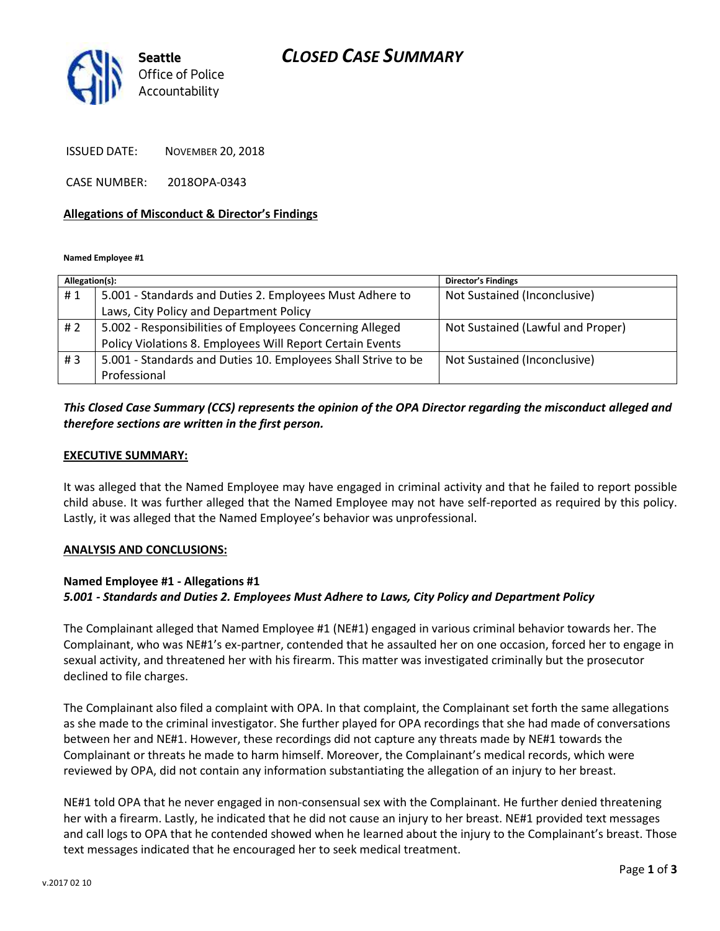## *CLOSED CASE SUMMARY*



ISSUED DATE: NOVEMBER 20, 2018

CASE NUMBER: 2018OPA-0343

### **Allegations of Misconduct & Director's Findings**

**Named Employee #1**

| Allegation(s): |                                                               | <b>Director's Findings</b>        |
|----------------|---------------------------------------------------------------|-----------------------------------|
| #1             | 5.001 - Standards and Duties 2. Employees Must Adhere to      | Not Sustained (Inconclusive)      |
|                | Laws, City Policy and Department Policy                       |                                   |
| #2             | 5.002 - Responsibilities of Employees Concerning Alleged      | Not Sustained (Lawful and Proper) |
|                | Policy Violations 8. Employees Will Report Certain Events     |                                   |
| #3             | 5.001 - Standards and Duties 10. Employees Shall Strive to be | Not Sustained (Inconclusive)      |
|                | Professional                                                  |                                   |

### *This Closed Case Summary (CCS) represents the opinion of the OPA Director regarding the misconduct alleged and therefore sections are written in the first person.*

### **EXECUTIVE SUMMARY:**

It was alleged that the Named Employee may have engaged in criminal activity and that he failed to report possible child abuse. It was further alleged that the Named Employee may not have self-reported as required by this policy. Lastly, it was alleged that the Named Employee's behavior was unprofessional.

#### **ANALYSIS AND CONCLUSIONS:**

### **Named Employee #1 - Allegations #1** *5.001 - Standards and Duties 2. Employees Must Adhere to Laws, City Policy and Department Policy*

The Complainant alleged that Named Employee #1 (NE#1) engaged in various criminal behavior towards her. The Complainant, who was NE#1's ex-partner, contended that he assaulted her on one occasion, forced her to engage in sexual activity, and threatened her with his firearm. This matter was investigated criminally but the prosecutor declined to file charges.

The Complainant also filed a complaint with OPA. In that complaint, the Complainant set forth the same allegations as she made to the criminal investigator. She further played for OPA recordings that she had made of conversations between her and NE#1. However, these recordings did not capture any threats made by NE#1 towards the Complainant or threats he made to harm himself. Moreover, the Complainant's medical records, which were reviewed by OPA, did not contain any information substantiating the allegation of an injury to her breast.

NE#1 told OPA that he never engaged in non-consensual sex with the Complainant. He further denied threatening her with a firearm. Lastly, he indicated that he did not cause an injury to her breast. NE#1 provided text messages and call logs to OPA that he contended showed when he learned about the injury to the Complainant's breast. Those text messages indicated that he encouraged her to seek medical treatment.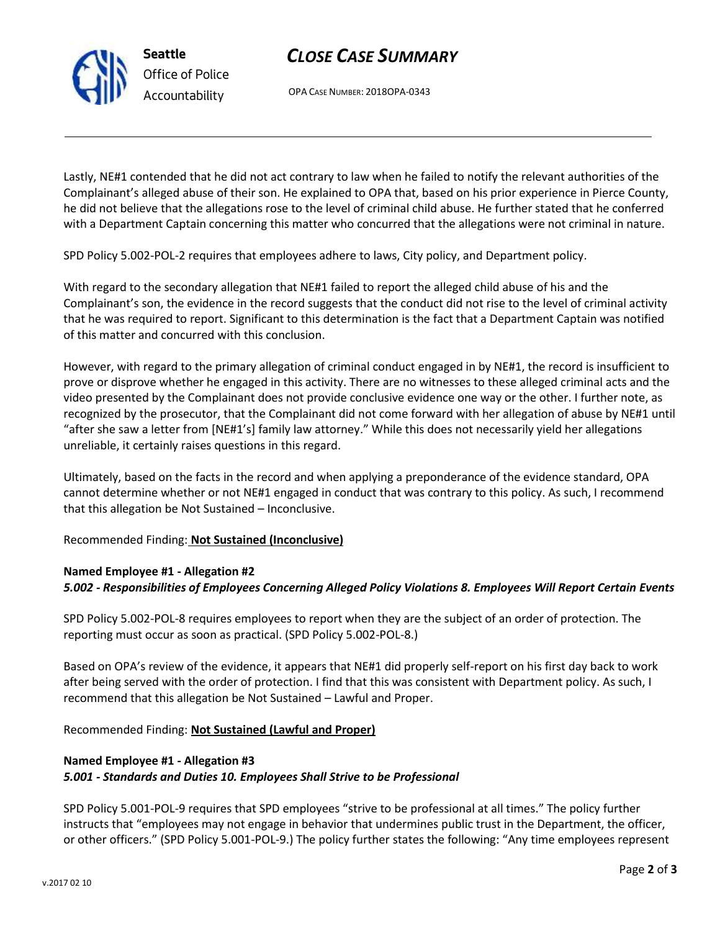# *CLOSE CASE SUMMARY*

OPA CASE NUMBER: 2018OPA-0343

Lastly, NE#1 contended that he did not act contrary to law when he failed to notify the relevant authorities of the Complainant's alleged abuse of their son. He explained to OPA that, based on his prior experience in Pierce County, he did not believe that the allegations rose to the level of criminal child abuse. He further stated that he conferred with a Department Captain concerning this matter who concurred that the allegations were not criminal in nature.

SPD Policy 5.002-POL-2 requires that employees adhere to laws, City policy, and Department policy.

With regard to the secondary allegation that NE#1 failed to report the alleged child abuse of his and the Complainant's son, the evidence in the record suggests that the conduct did not rise to the level of criminal activity that he was required to report. Significant to this determination is the fact that a Department Captain was notified of this matter and concurred with this conclusion.

However, with regard to the primary allegation of criminal conduct engaged in by NE#1, the record is insufficient to prove or disprove whether he engaged in this activity. There are no witnesses to these alleged criminal acts and the video presented by the Complainant does not provide conclusive evidence one way or the other. I further note, as recognized by the prosecutor, that the Complainant did not come forward with her allegation of abuse by NE#1 until "after she saw a letter from [NE#1's] family law attorney." While this does not necessarily yield her allegations unreliable, it certainly raises questions in this regard.

Ultimately, based on the facts in the record and when applying a preponderance of the evidence standard, OPA cannot determine whether or not NE#1 engaged in conduct that was contrary to this policy. As such, I recommend that this allegation be Not Sustained – Inconclusive.

Recommended Finding: **Not Sustained (Inconclusive)**

### **Named Employee #1 - Allegation #2**

### *5.002 - Responsibilities of Employees Concerning Alleged Policy Violations 8. Employees Will Report Certain Events*

SPD Policy 5.002-POL-8 requires employees to report when they are the subject of an order of protection. The reporting must occur as soon as practical. (SPD Policy 5.002-POL-8.)

Based on OPA's review of the evidence, it appears that NE#1 did properly self-report on his first day back to work after being served with the order of protection. I find that this was consistent with Department policy. As such, I recommend that this allegation be Not Sustained – Lawful and Proper.

Recommended Finding: **Not Sustained (Lawful and Proper)**

## **Named Employee #1 - Allegation #3** *5.001 - Standards and Duties 10. Employees Shall Strive to be Professional*

SPD Policy 5.001-POL-9 requires that SPD employees "strive to be professional at all times." The policy further instructs that "employees may not engage in behavior that undermines public trust in the Department, the officer, or other officers." (SPD Policy 5.001-POL-9.) The policy further states the following: "Any time employees represent



**Seattle** *Office of Police Accountability*